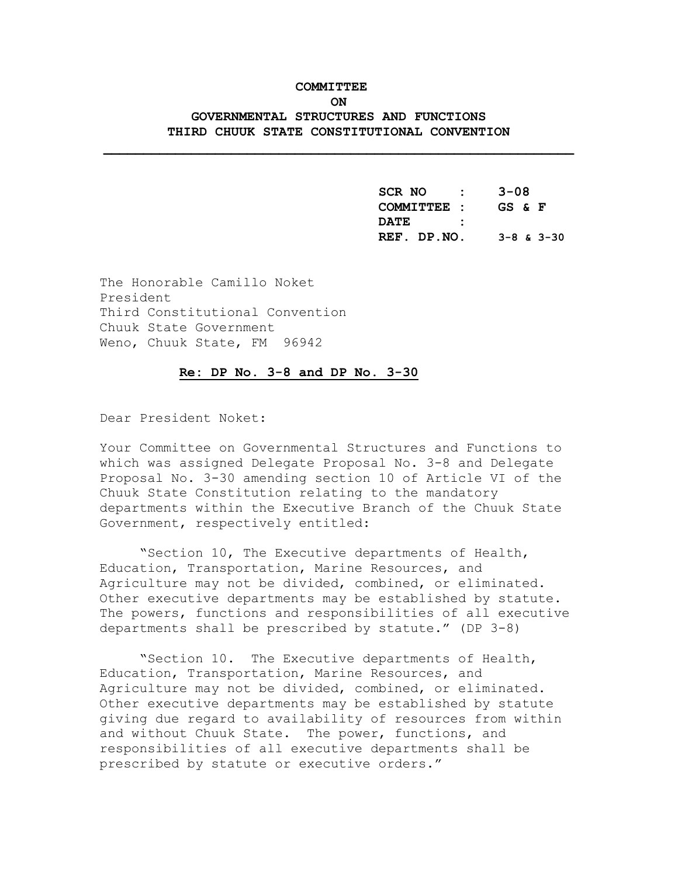## **COMMITTEE ON GOVERNMENTAL STRUCTURES AND FUNCTIONS THIRD CHUUK STATE CONSTITUTIONAL CONVENTION**

**\_\_\_\_\_\_\_\_\_\_\_\_\_\_\_\_\_\_\_\_\_\_\_\_\_\_\_\_\_\_\_\_\_\_\_\_\_\_\_\_\_\_\_\_\_\_\_\_\_\_\_\_\_\_\_\_\_\_\_** 

 **SCR NO : 3-08 COMMITTEE : GS & F DATE** :  **REF. DP.NO. 3-8 & 3-30**

The Honorable Camillo Noket President Third Constitutional Convention Chuuk State Government Weno, Chuuk State, FM 96942

## **Re: DP No. 3-8 and DP No. 3-30**

Dear President Noket:

Your Committee on Governmental Structures and Functions to which was assigned Delegate Proposal No. 3-8 and Delegate Proposal No. 3-30 amending section 10 of Article VI of the Chuuk State Constitution relating to the mandatory departments within the Executive Branch of the Chuuk State Government, respectively entitled:

"Section 10, The Executive departments of Health, Education, Transportation, Marine Resources, and Agriculture may not be divided, combined, or eliminated. Other executive departments may be established by statute. The powers, functions and responsibilities of all executive departments shall be prescribed by statute." (DP 3-8)

"Section 10. The Executive departments of Health, Education, Transportation, Marine Resources, and Agriculture may not be divided, combined, or eliminated. Other executive departments may be established by statute giving due regard to availability of resources from within and without Chuuk State. The power, functions, and responsibilities of all executive departments shall be prescribed by statute or executive orders."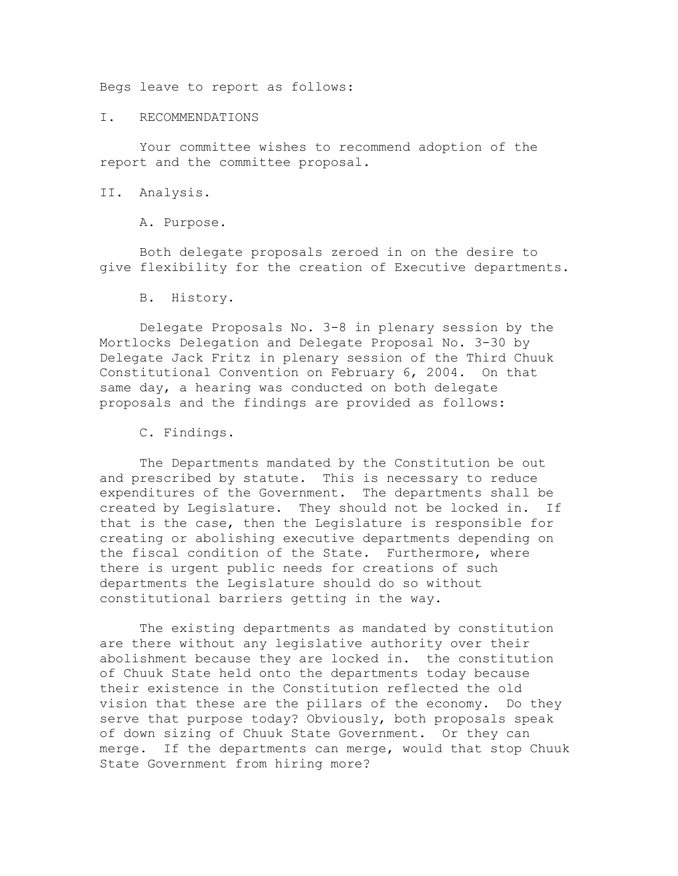Begs leave to report as follows:

I. RECOMMENDATIONS

Your committee wishes to recommend adoption of the report and the committee proposal.

II. Analysis.

A. Purpose.

Both delegate proposals zeroed in on the desire to give flexibility for the creation of Executive departments.

B. History.

Delegate Proposals No. 3-8 in plenary session by the Mortlocks Delegation and Delegate Proposal No. 3-30 by Delegate Jack Fritz in plenary session of the Third Chuuk Constitutional Convention on February 6, 2004. On that same day, a hearing was conducted on both delegate proposals and the findings are provided as follows:

C. Findings.

The Departments mandated by the Constitution be out and prescribed by statute. This is necessary to reduce expenditures of the Government. The departments shall be created by Legislature. They should not be locked in. If that is the case, then the Legislature is responsible for creating or abolishing executive departments depending on the fiscal condition of the State. Furthermore, where there is urgent public needs for creations of such departments the Legislature should do so without constitutional barriers getting in the way.

The existing departments as mandated by constitution are there without any legislative authority over their abolishment because they are locked in. the constitution of Chuuk State held onto the departments today because their existence in the Constitution reflected the old vision that these are the pillars of the economy. Do they serve that purpose today? Obviously, both proposals speak of down sizing of Chuuk State Government. Or they can merge. If the departments can merge, would that stop Chuuk State Government from hiring more?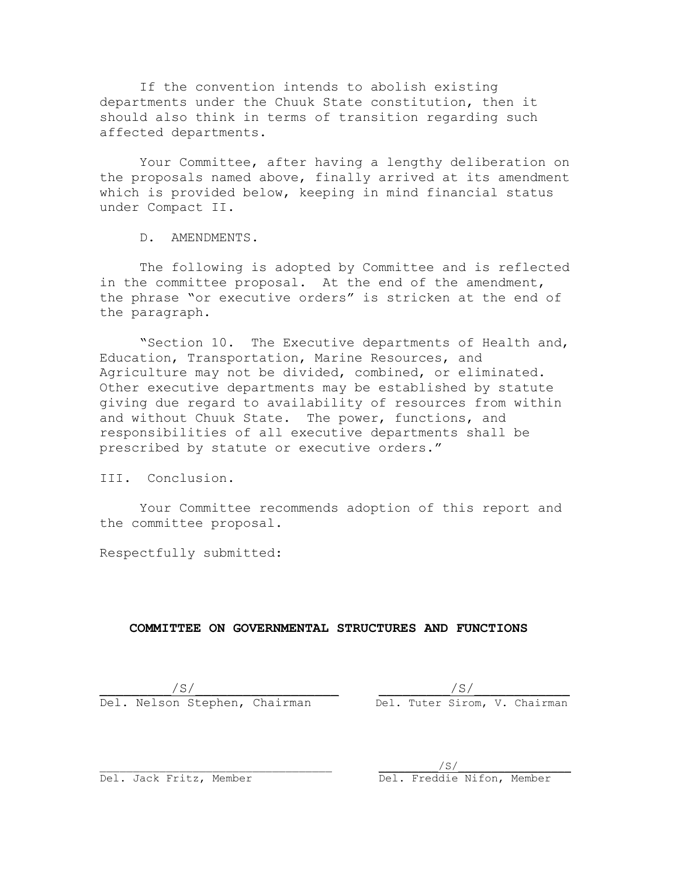If the convention intends to abolish existing departments under the Chuuk State constitution, then it should also think in terms of transition regarding such affected departments.

Your Committee, after having a lengthy deliberation on the proposals named above, finally arrived at its amendment which is provided below, keeping in mind financial status under Compact II.

D. AMENDMENTS.

The following is adopted by Committee and is reflected in the committee proposal. At the end of the amendment, the phrase "or executive orders" is stricken at the end of the paragraph.

"Section 10. The Executive departments of Health and, Education, Transportation, Marine Resources, and Agriculture may not be divided, combined, or eliminated. Other executive departments may be established by statute giving due regard to availability of resources from within and without Chuuk State. The power, functions, and responsibilities of all executive departments shall be prescribed by statute or executive orders."

III. Conclusion.

Your Committee recommends adoption of this report and the committee proposal.

Respectfully submitted:

## **COMMITTEE ON GOVERNMENTAL STRUCTURES AND FUNCTIONS**

 $\sqrt{s}/$ Del. Nelson Stephen, Chairman Del. Tuter Sirom, V. Chairman